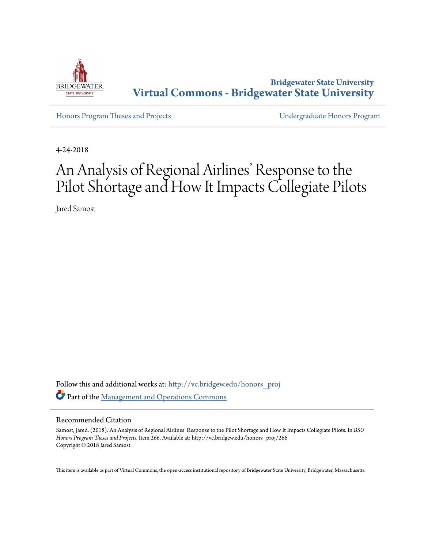

**Bridgewater State University [Virtual Commons - Bridgewater State University](http://vc.bridgew.edu?utm_source=vc.bridgew.edu%2Fhonors_proj%2F266&utm_medium=PDF&utm_campaign=PDFCoverPages)**

[Honors Program Theses and Projects](http://vc.bridgew.edu/honors_proj?utm_source=vc.bridgew.edu%2Fhonors_proj%2F266&utm_medium=PDF&utm_campaign=PDFCoverPages) [Undergraduate Honors Program](http://vc.bridgew.edu/honors?utm_source=vc.bridgew.edu%2Fhonors_proj%2F266&utm_medium=PDF&utm_campaign=PDFCoverPages)

4-24-2018

# An Analysis of Regional Airlines' Response to the Pilot Shortage and How It Impacts Collegiate Pilots

Jared Samost

Follow this and additional works at: [http://vc.bridgew.edu/honors\\_proj](http://vc.bridgew.edu/honors_proj?utm_source=vc.bridgew.edu%2Fhonors_proj%2F266&utm_medium=PDF&utm_campaign=PDFCoverPages) Part of the [Management and Operations Commons](http://network.bepress.com/hgg/discipline/1311?utm_source=vc.bridgew.edu%2Fhonors_proj%2F266&utm_medium=PDF&utm_campaign=PDFCoverPages)

#### Recommended Citation

Samost, Jared. (2018). An Analysis of Regional Airlines' Response to the Pilot Shortage and How It Impacts Collegiate Pilots. In *BSU Honors Program Theses and Projects.* Item 266. Available at: http://vc.bridgew.edu/honors\_proj/266 Copyright © 2018 Jared Samost

This item is available as part of Virtual Commons, the open-access institutional repository of Bridgewater State University, Bridgewater, Massachusetts.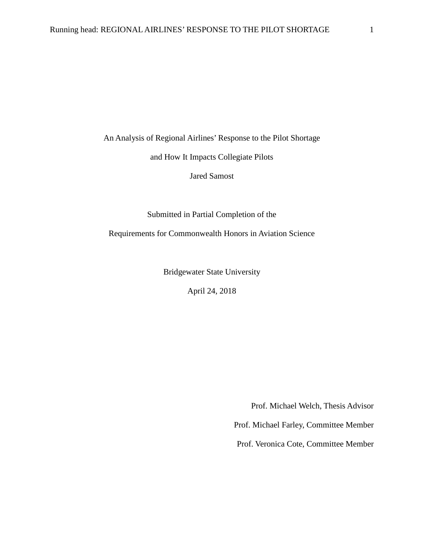An Analysis of Regional Airlines' Response to the Pilot Shortage

and How It Impacts Collegiate Pilots

Jared Samost

Submitted in Partial Completion of the

Requirements for Commonwealth Honors in Aviation Science

Bridgewater State University

April 24, 2018

Prof. Michael Welch, Thesis Advisor

Prof. Michael Farley, Committee Member

Prof. Veronica Cote, Committee Member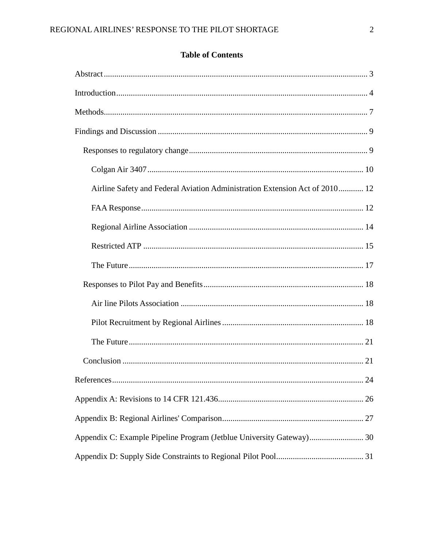## **Table of Contents**

| Airline Safety and Federal Aviation Administration Extension Act of 2010 12 |  |
|-----------------------------------------------------------------------------|--|
|                                                                             |  |
|                                                                             |  |
|                                                                             |  |
|                                                                             |  |
|                                                                             |  |
|                                                                             |  |
|                                                                             |  |
|                                                                             |  |
|                                                                             |  |
|                                                                             |  |
|                                                                             |  |
|                                                                             |  |
| Appendix C: Example Pipeline Program (Jetblue University Gateway) 30        |  |
|                                                                             |  |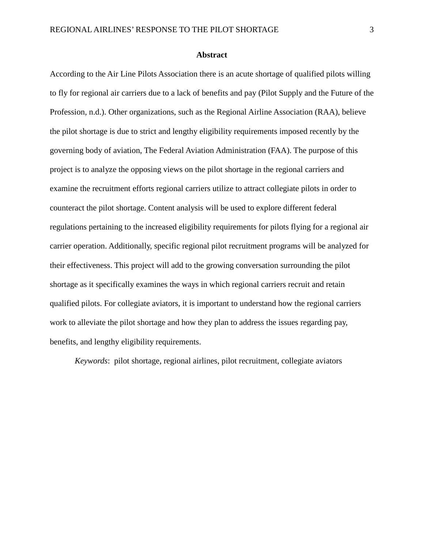#### <span id="page-3-0"></span>**Abstract**

According to the Air Line Pilots Association there is an acute shortage of qualified pilots willing to fly for regional air carriers due to a lack of benefits and pay (Pilot Supply and the Future of the Profession, n.d.). Other organizations, such as the Regional Airline Association (RAA), believe the pilot shortage is due to strict and lengthy eligibility requirements imposed recently by the governing body of aviation, The Federal Aviation Administration (FAA). The purpose of this project is to analyze the opposing views on the pilot shortage in the regional carriers and examine the recruitment efforts regional carriers utilize to attract collegiate pilots in order to counteract the pilot shortage. Content analysis will be used to explore different federal regulations pertaining to the increased eligibility requirements for pilots flying for a regional air carrier operation. Additionally, specific regional pilot recruitment programs will be analyzed for their effectiveness. This project will add to the growing conversation surrounding the pilot shortage as it specifically examines the ways in which regional carriers recruit and retain qualified pilots. For collegiate aviators, it is important to understand how the regional carriers work to alleviate the pilot shortage and how they plan to address the issues regarding pay, benefits, and lengthy eligibility requirements.

*Keywords*: pilot shortage, regional airlines, pilot recruitment, collegiate aviators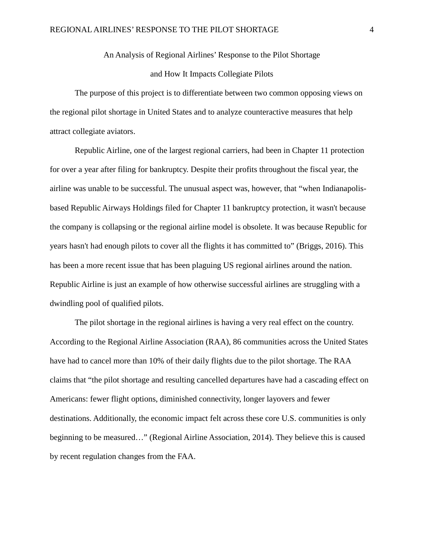## <span id="page-4-0"></span>An Analysis of Regional Airlines' Response to the Pilot Shortage and How It Impacts Collegiate Pilots

The purpose of this project is to differentiate between two common opposing views on the regional pilot shortage in United States and to analyze counteractive measures that help attract collegiate aviators.

Republic Airline, one of the largest regional carriers, had been in Chapter 11 protection for over a year after filing for bankruptcy. Despite their profits throughout the fiscal year, the airline was unable to be successful. The unusual aspect was, however, that "when Indianapolisbased Republic Airways Holdings filed for Chapter 11 bankruptcy protection, it wasn't because the company is collapsing or the regional airline model is obsolete. It was because Republic for years hasn't had enough pilots to cover all the flights it has committed to" (Briggs, 2016). This has been a more recent issue that has been plaguing US regional airlines around the nation. Republic Airline is just an example of how otherwise successful airlines are struggling with a dwindling pool of qualified pilots.

The pilot shortage in the regional airlines is having a very real effect on the country. According to the Regional Airline Association (RAA), 86 communities across the United States have had to cancel more than 10% of their daily flights due to the pilot shortage. The RAA claims that "the pilot shortage and resulting cancelled departures have had a cascading effect on Americans: fewer flight options, diminished connectivity, longer layovers and fewer destinations. Additionally, the economic impact felt across these core U.S. communities is only beginning to be measured…" (Regional Airline Association, 2014). They believe this is caused by recent regulation changes from the FAA.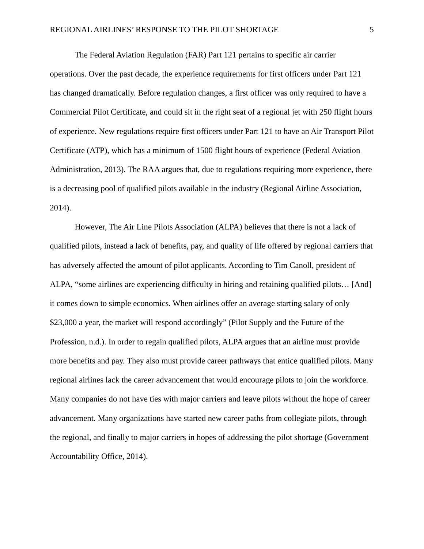The Federal Aviation Regulation (FAR) Part 121 pertains to specific air carrier operations. Over the past decade, the experience requirements for first officers under Part 121 has changed dramatically. Before regulation changes, a first officer was only required to have a Commercial Pilot Certificate, and could sit in the right seat of a regional jet with 250 flight hours of experience. New regulations require first officers under Part 121 to have an Air Transport Pilot Certificate (ATP), which has a minimum of 1500 flight hours of experience (Federal Aviation Administration, 2013). The RAA argues that, due to regulations requiring more experience, there is a decreasing pool of qualified pilots available in the industry (Regional Airline Association, 2014).

However, The Air Line Pilots Association (ALPA) believes that there is not a lack of qualified pilots, instead a lack of benefits, pay, and quality of life offered by regional carriers that has adversely affected the amount of pilot applicants. According to Tim Canoll, president of ALPA, "some airlines are experiencing difficulty in hiring and retaining qualified pilots… [And] it comes down to simple economics. When airlines offer an average starting salary of only \$23,000 a year, the market will respond accordingly" (Pilot Supply and the Future of the Profession, n.d.). In order to regain qualified pilots, ALPA argues that an airline must provide more benefits and pay. They also must provide career pathways that entice qualified pilots. Many regional airlines lack the career advancement that would encourage pilots to join the workforce. Many companies do not have ties with major carriers and leave pilots without the hope of career advancement. Many organizations have started new career paths from collegiate pilots, through the regional, and finally to major carriers in hopes of addressing the pilot shortage (Government Accountability Office, 2014).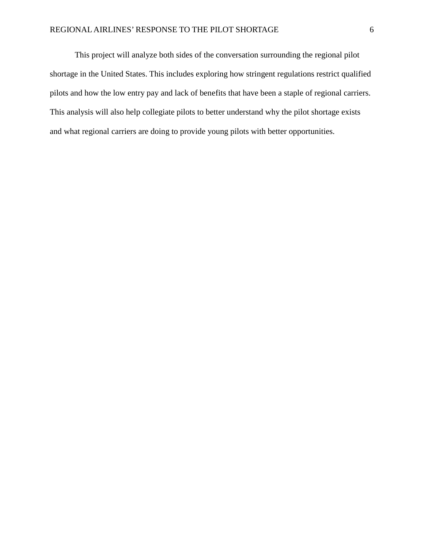#### REGIONAL AIRLINES' RESPONSE TO THE PILOT SHORTAGE 6

<span id="page-6-0"></span>This project will analyze both sides of the conversation surrounding the regional pilot shortage in the United States. This includes exploring how stringent regulations restrict qualified pilots and how the low entry pay and lack of benefits that have been a staple of regional carriers. This analysis will also help collegiate pilots to better understand why the pilot shortage exists and what regional carriers are doing to provide young pilots with better opportunities.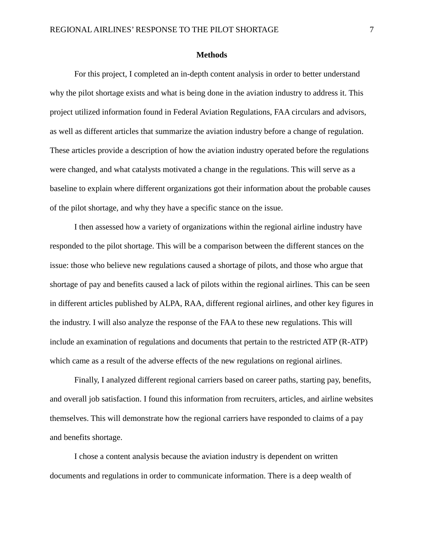#### **Methods**

For this project, I completed an in-depth content analysis in order to better understand why the pilot shortage exists and what is being done in the aviation industry to address it. This project utilized information found in Federal Aviation Regulations, FAA circulars and advisors, as well as different articles that summarize the aviation industry before a change of regulation. These articles provide a description of how the aviation industry operated before the regulations were changed, and what catalysts motivated a change in the regulations. This will serve as a baseline to explain where different organizations got their information about the probable causes of the pilot shortage, and why they have a specific stance on the issue.

I then assessed how a variety of organizations within the regional airline industry have responded to the pilot shortage. This will be a comparison between the different stances on the issue: those who believe new regulations caused a shortage of pilots, and those who argue that shortage of pay and benefits caused a lack of pilots within the regional airlines. This can be seen in different articles published by ALPA, RAA, different regional airlines, and other key figures in the industry. I will also analyze the response of the FAA to these new regulations. This will include an examination of regulations and documents that pertain to the restricted ATP (R-ATP) which came as a result of the adverse effects of the new regulations on regional airlines.

Finally, I analyzed different regional carriers based on career paths, starting pay, benefits, and overall job satisfaction. I found this information from recruiters, articles, and airline websites themselves. This will demonstrate how the regional carriers have responded to claims of a pay and benefits shortage.

I chose a content analysis because the aviation industry is dependent on written documents and regulations in order to communicate information. There is a deep wealth of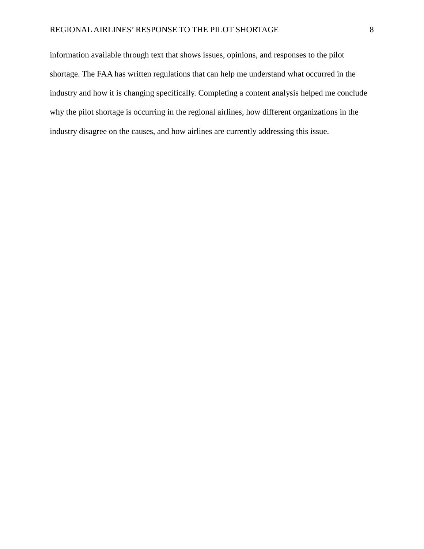#### REGIONAL AIRLINES' RESPONSE TO THE PILOT SHORTAGE 8

<span id="page-8-0"></span>information available through text that shows issues, opinions, and responses to the pilot shortage. The FAA has written regulations that can help me understand what occurred in the industry and how it is changing specifically. Completing a content analysis helped me conclude why the pilot shortage is occurring in the regional airlines, how different organizations in the industry disagree on the causes, and how airlines are currently addressing this issue.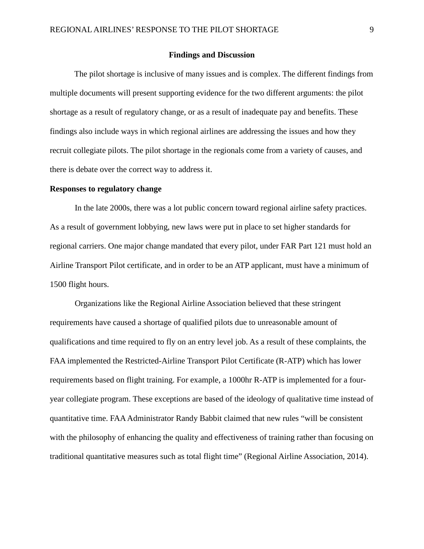#### **Findings and Discussion**

The pilot shortage is inclusive of many issues and is complex. The different findings from multiple documents will present supporting evidence for the two different arguments: the pilot shortage as a result of regulatory change, or as a result of inadequate pay and benefits. These findings also include ways in which regional airlines are addressing the issues and how they recruit collegiate pilots. The pilot shortage in the regionals come from a variety of causes, and there is debate over the correct way to address it.

#### <span id="page-9-0"></span>**Responses to regulatory change**

In the late 2000s, there was a lot public concern toward regional airline safety practices. As a result of government lobbying, new laws were put in place to set higher standards for regional carriers. One major change mandated that every pilot, under FAR Part 121 must hold an Airline Transport Pilot certificate, and in order to be an ATP applicant, must have a minimum of 1500 flight hours.

Organizations like the Regional Airline Association believed that these stringent requirements have caused a shortage of qualified pilots due to unreasonable amount of qualifications and time required to fly on an entry level job. As a result of these complaints, the FAA implemented the Restricted-Airline Transport Pilot Certificate (R-ATP) which has lower requirements based on flight training. For example, a 1000hr R-ATP is implemented for a fouryear collegiate program. These exceptions are based of the ideology of qualitative time instead of quantitative time. FAA Administrator Randy Babbit claimed that new rules "will be consistent with the philosophy of enhancing the quality and effectiveness of training rather than focusing on traditional quantitative measures such as total flight time" (Regional Airline Association, 2014).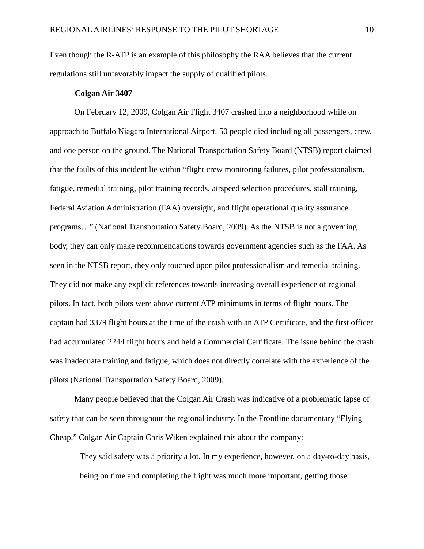Even though the R-ATP is an example of this philosophy the RAA believes that the current regulations still unfavorably impact the supply of qualified pilots.

#### **Colgan Air 3407**

<span id="page-10-0"></span>On February 12, 2009, Colgan Air Flight 3407 crashed into a neighborhood while on approach to Buffalo Niagara International Airport. 50 people died including all passengers, crew, and one person on the ground. The National Transportation Safety Board (NTSB) report claimed that the faults of this incident lie within "flight crew monitoring failures, pilot professionalism, fatigue, remedial training, pilot training records, airspeed selection procedures, stall training, Federal Aviation Administration (FAA) oversight, and flight operational quality assurance programs…" (National Transportation Safety Board, 2009). As the NTSB is not a governing body, they can only make recommendations towards government agencies such as the FAA. As seen in the NTSB report, they only touched upon pilot professionalism and remedial training. They did not make any explicit references towards increasing overall experience of regional pilots. In fact, both pilots were above current ATP minimums in terms of flight hours. The captain had 3379 flight hours at the time of the crash with an ATP Certificate, and the first officer had accumulated 2244 flight hours and held a Commercial Certificate. The issue behind the crash was inadequate training and fatigue, which does not directly correlate with the experience of the pilots (National Transportation Safety Board, 2009).

Many people believed that the Colgan Air Crash was indicative of a problematic lapse of safety that can be seen throughout the regional industry. In the Frontline documentary "Flying Cheap," Colgan Air Captain Chris Wiken explained this about the company:

They said safety was a priority a lot. In my experience, however, on a day-to-day basis, being on time and completing the flight was much more important, getting those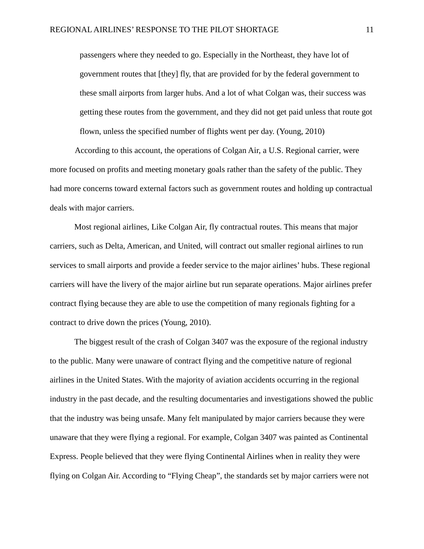passengers where they needed to go. Especially in the Northeast, they have lot of government routes that [they] fly, that are provided for by the federal government to these small airports from larger hubs. And a lot of what Colgan was, their success was getting these routes from the government, and they did not get paid unless that route got flown, unless the specified number of flights went per day. (Young, 2010)

According to this account, the operations of Colgan Air, a U.S. Regional carrier, were more focused on profits and meeting monetary goals rather than the safety of the public. They had more concerns toward external factors such as government routes and holding up contractual deals with major carriers.

Most regional airlines, Like Colgan Air, fly contractual routes. This means that major carriers, such as Delta, American, and United, will contract out smaller regional airlines to run services to small airports and provide a feeder service to the major airlines' hubs. These regional carriers will have the livery of the major airline but run separate operations. Major airlines prefer contract flying because they are able to use the competition of many regionals fighting for a contract to drive down the prices (Young, 2010).

The biggest result of the crash of Colgan 3407 was the exposure of the regional industry to the public. Many were unaware of contract flying and the competitive nature of regional airlines in the United States. With the majority of aviation accidents occurring in the regional industry in the past decade, and the resulting documentaries and investigations showed the public that the industry was being unsafe. Many felt manipulated by major carriers because they were unaware that they were flying a regional. For example, Colgan 3407 was painted as Continental Express. People believed that they were flying Continental Airlines when in reality they were flying on Colgan Air. According to "Flying Cheap", the standards set by major carriers were not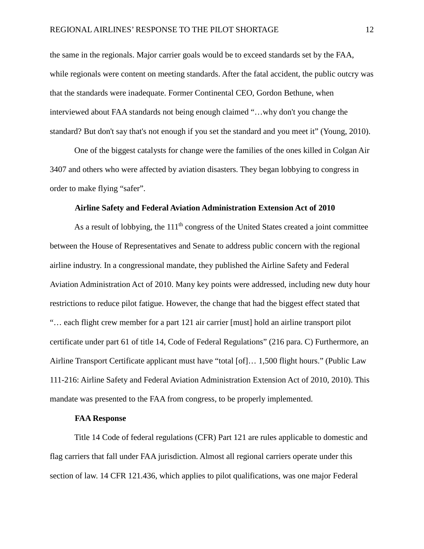the same in the regionals. Major carrier goals would be to exceed standards set by the FAA, while regionals were content on meeting standards. After the fatal accident, the public outcry was that the standards were inadequate. Former Continental CEO, Gordon Bethune, when interviewed about FAA standards not being enough claimed "…why don't you change the standard? But don't say that's not enough if you set the standard and you meet it" (Young, 2010).

One of the biggest catalysts for change were the families of the ones killed in Colgan Air 3407 and others who were affected by aviation disasters. They began lobbying to congress in order to make flying "safer".

#### **Airline Safety and Federal Aviation Administration Extension Act of 2010**

<span id="page-12-0"></span>As a result of lobbying, the  $111<sup>th</sup>$  congress of the United States created a joint committee between the House of Representatives and Senate to address public concern with the regional airline industry. In a congressional mandate, they published the Airline Safety and Federal Aviation Administration Act of 2010. Many key points were addressed, including new duty hour restrictions to reduce pilot fatigue. However, the change that had the biggest effect stated that "… each flight crew member for a part 121 air carrier [must] hold an airline transport pilot certificate under part 61 of title 14, Code of Federal Regulations" (216 para. C) Furthermore, an Airline Transport Certificate applicant must have "total [of]… 1,500 flight hours." (Public Law 111-216: Airline Safety and Federal Aviation Administration Extension Act of 2010, 2010). This mandate was presented to the FAA from congress, to be properly implemented.

#### **FAA Response**

<span id="page-12-1"></span>Title 14 Code of federal regulations (CFR) Part 121 are rules applicable to domestic and flag carriers that fall under FAA jurisdiction. Almost all regional carriers operate under this section of law. 14 CFR 121.436, which applies to pilot qualifications, was one major Federal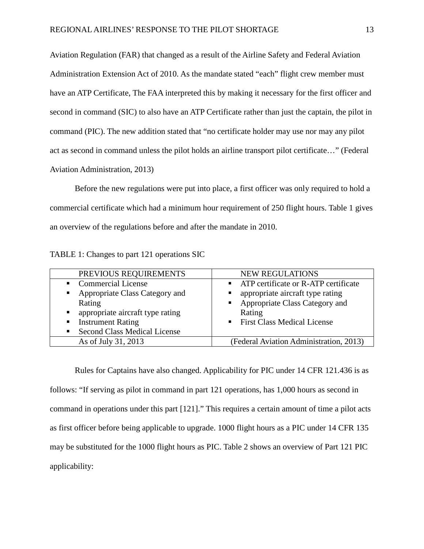Aviation Regulation (FAR) that changed as a result of the Airline Safety and Federal Aviation Administration Extension Act of 2010. As the mandate stated "each" flight crew member must have an ATP Certificate, The FAA interpreted this by making it necessary for the first officer and second in command (SIC) to also have an ATP Certificate rather than just the captain, the pilot in command (PIC). The new addition stated that "no certificate holder may use nor may any pilot act as second in command unless the pilot holds an airline transport pilot certificate…" (Federal Aviation Administration, 2013)

Before the new regulations were put into place, a first officer was only required to hold a commercial certificate which had a minimum hour requirement of 250 flight hours. Table 1 gives an overview of the regulations before and after the mandate in 2010.

| TABLE 1: Changes to part 121 operations SIC |  |  |  |
|---------------------------------------------|--|--|--|
|---------------------------------------------|--|--|--|

| PREVIOUS REQUIREMENTS               | <b>NEW REGULATIONS</b>                  |
|-------------------------------------|-----------------------------------------|
| <b>Commercial License</b>           | • ATP certificate or R-ATP certificate  |
| Appropriate Class Category and      | appropriate aircraft type rating        |
| Rating                              | • Appropriate Class Category and        |
| appropriate aircraft type rating    | Rating                                  |
| <b>Instrument Rating</b>            | • First Class Medical License           |
| <b>Second Class Medical License</b> |                                         |
| As of July 31, 2013                 | (Federal Aviation Administration, 2013) |

Rules for Captains have also changed. Applicability for PIC under 14 CFR 121.436 is as follows: "If serving as pilot in command in part 121 operations, has 1,000 hours as second in command in operations under this part [121]." This requires a certain amount of time a pilot acts as first officer before being applicable to upgrade. 1000 flight hours as a PIC under 14 CFR 135 may be substituted for the 1000 flight hours as PIC. Table 2 shows an overview of Part 121 PIC applicability: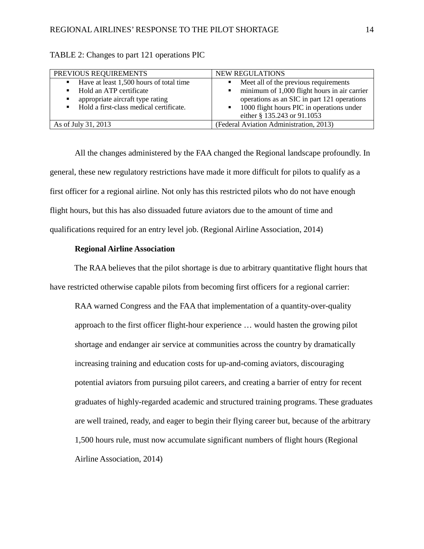| PREVIOUS REQUIREMENTS                                                                                                                                                    | <b>NEW REGULATIONS</b>                                                                                                                                                                                                                            |
|--------------------------------------------------------------------------------------------------------------------------------------------------------------------------|---------------------------------------------------------------------------------------------------------------------------------------------------------------------------------------------------------------------------------------------------|
| Have at least 1,500 hours of total time<br>٠<br>Hold an ATP certificate<br>appropriate aircraft type rating<br>Hold a first-class medical certificate.<br>$\blacksquare$ | • Meet all of the previous requirements<br>$\blacksquare$ minimum of 1,000 flight hours in air carrier<br>operations as an SIC in part 121 operations<br>1000 flight hours PIC in operations under<br>$\mathbf{E}$<br>either § 135.243 or 91.1053 |
| As of July 31, 2013                                                                                                                                                      | (Federal Aviation Administration, 2013)                                                                                                                                                                                                           |

TABLE 2: Changes to part 121 operations PIC

All the changes administered by the FAA changed the Regional landscape profoundly. In general, these new regulatory restrictions have made it more difficult for pilots to qualify as a first officer for a regional airline. Not only has this restricted pilots who do not have enough flight hours, but this has also dissuaded future aviators due to the amount of time and qualifications required for an entry level job. (Regional Airline Association, 2014)

#### **Regional Airline Association**

<span id="page-14-0"></span>The RAA believes that the pilot shortage is due to arbitrary quantitative flight hours that have restricted otherwise capable pilots from becoming first officers for a regional carrier:

RAA warned Congress and the FAA that implementation of a quantity-over-quality approach to the first officer flight-hour experience … would hasten the growing pilot shortage and endanger air service at communities across the country by dramatically increasing training and education costs for up-and-coming aviators, discouraging potential aviators from pursuing pilot careers, and creating a barrier of entry for recent graduates of highly-regarded academic and structured training programs. These graduates are well trained, ready, and eager to begin their flying career but, because of the arbitrary 1,500 hours rule, must now accumulate significant numbers of flight hours (Regional Airline Association, 2014)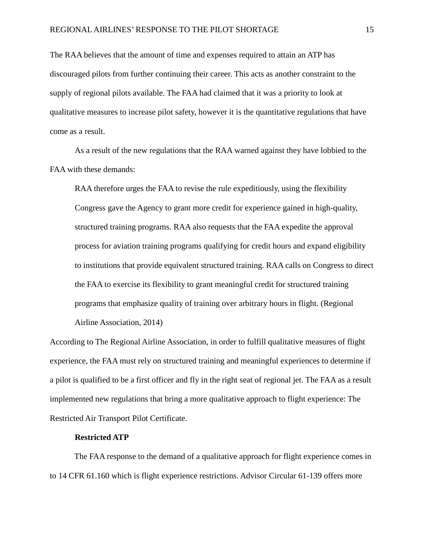The RAA believes that the amount of time and expenses required to attain an ATP has discouraged pilots from further continuing their career. This acts as another constraint to the supply of regional pilots available. The FAA had claimed that it was a priority to look at qualitative measures to increase pilot safety, however it is the quantitative regulations that have come as a result.

As a result of the new regulations that the RAA warned against they have lobbied to the FAA with these demands:

RAA therefore urges the FAA to revise the rule expeditiously, using the flexibility Congress gave the Agency to grant more credit for experience gained in high-quality, structured training programs. RAA also requests that the FAA expedite the approval process for aviation training programs qualifying for credit hours and expand eligibility to institutions that provide equivalent structured training. RAA calls on Congress to direct the FAA to exercise its flexibility to grant meaningful credit for structured training programs that emphasize quality of training over arbitrary hours in flight. (Regional Airline Association, 2014)

According to The Regional Airline Association, in order to fulfill qualitative measures of flight experience, the FAA must rely on structured training and meaningful experiences to determine if a pilot is qualified to be a first officer and fly in the right seat of regional jet. The FAA as a result implemented new regulations that bring a more qualitative approach to flight experience: The Restricted Air Transport Pilot Certificate.

#### **Restricted ATP**

<span id="page-15-0"></span>The FAA response to the demand of a qualitative approach for flight experience comes in to 14 CFR 61.160 which is flight experience restrictions. Advisor Circular 61-139 offers more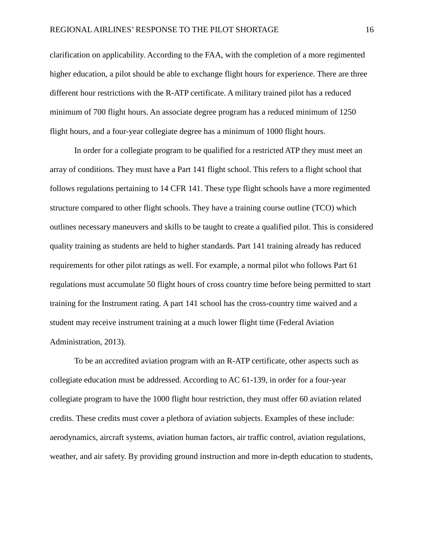clarification on applicability. According to the FAA, with the completion of a more regimented higher education, a pilot should be able to exchange flight hours for experience. There are three different hour restrictions with the R-ATP certificate. A military trained pilot has a reduced minimum of 700 flight hours. An associate degree program has a reduced minimum of 1250 flight hours, and a four-year collegiate degree has a minimum of 1000 flight hours.

In order for a collegiate program to be qualified for a restricted ATP they must meet an array of conditions. They must have a Part 141 flight school. This refers to a flight school that follows regulations pertaining to 14 CFR 141. These type flight schools have a more regimented structure compared to other flight schools. They have a training course outline (TCO) which outlines necessary maneuvers and skills to be taught to create a qualified pilot. This is considered quality training as students are held to higher standards. Part 141 training already has reduced requirements for other pilot ratings as well. For example, a normal pilot who follows Part 61 regulations must accumulate 50 flight hours of cross country time before being permitted to start training for the Instrument rating. A part 141 school has the cross-country time waived and a student may receive instrument training at a much lower flight time (Federal Aviation Administration, 2013).

To be an accredited aviation program with an R-ATP certificate, other aspects such as collegiate education must be addressed. According to AC 61-139, in order for a four-year collegiate program to have the 1000 flight hour restriction, they must offer 60 aviation related credits. These credits must cover a plethora of aviation subjects. Examples of these include: aerodynamics, aircraft systems, aviation human factors, air traffic control, aviation regulations, weather, and air safety. By providing ground instruction and more in-depth education to students,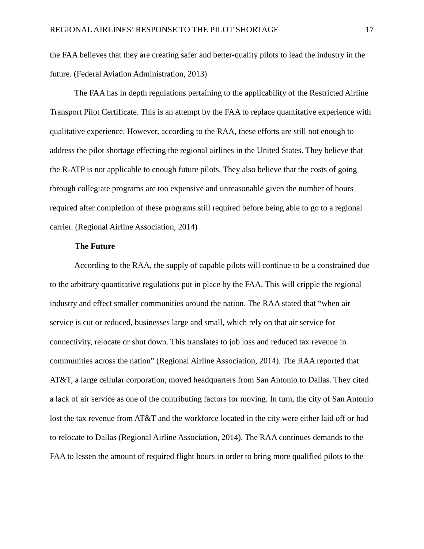the FAA believes that they are creating safer and better-quality pilots to lead the industry in the future. (Federal Aviation Administration, 2013)

The FAA has in depth regulations pertaining to the applicability of the Restricted Airline Transport Pilot Certificate. This is an attempt by the FAA to replace quantitative experience with qualitative experience. However, according to the RAA, these efforts are still not enough to address the pilot shortage effecting the regional airlines in the United States. They believe that the R-ATP is not applicable to enough future pilots. They also believe that the costs of going through collegiate programs are too expensive and unreasonable given the number of hours required after completion of these programs still required before being able to go to a regional carrier. (Regional Airline Association, 2014)

#### **The Future**

<span id="page-17-0"></span>According to the RAA, the supply of capable pilots will continue to be a constrained due to the arbitrary quantitative regulations put in place by the FAA. This will cripple the regional industry and effect smaller communities around the nation. The RAA stated that "when air service is cut or reduced, businesses large and small, which rely on that air service for connectivity, relocate or shut down. This translates to job loss and reduced tax revenue in communities across the nation" (Regional Airline Association, 2014). The RAA reported that AT&T, a large cellular corporation, moved headquarters from San Antonio to Dallas. They cited a lack of air service as one of the contributing factors for moving. In turn, the city of San Antonio lost the tax revenue from AT&T and the workforce located in the city were either laid off or had to relocate to Dallas (Regional Airline Association, 2014). The RAA continues demands to the FAA to lessen the amount of required flight hours in order to bring more qualified pilots to the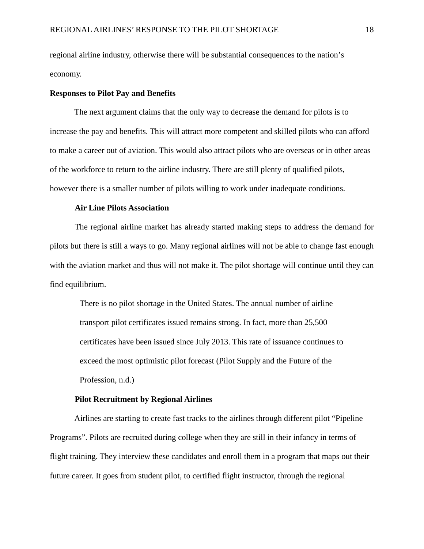regional airline industry, otherwise there will be substantial consequences to the nation's economy.

#### <span id="page-18-0"></span>**Responses to Pilot Pay and Benefits**

The next argument claims that the only way to decrease the demand for pilots is to increase the pay and benefits. This will attract more competent and skilled pilots who can afford to make a career out of aviation. This would also attract pilots who are overseas or in other areas of the workforce to return to the airline industry. There are still plenty of qualified pilots, however there is a smaller number of pilots willing to work under inadequate conditions.

#### **Air Line Pilots Association**

<span id="page-18-1"></span>The regional airline market has already started making steps to address the demand for pilots but there is still a ways to go. Many regional airlines will not be able to change fast enough with the aviation market and thus will not make it. The pilot shortage will continue until they can find equilibrium.

There is no pilot shortage in the United States. The annual number of airline transport pilot certificates issued remains strong. In fact, more than 25,500 certificates have been issued since July 2013. This rate of issuance continues to exceed the most optimistic pilot forecast (Pilot Supply and the Future of the Profession, n.d.)

#### **Pilot Recruitment by Regional Airlines**

<span id="page-18-2"></span>Airlines are starting to create fast tracks to the airlines through different pilot "Pipeline Programs". Pilots are recruited during college when they are still in their infancy in terms of flight training. They interview these candidates and enroll them in a program that maps out their future career. It goes from student pilot, to certified flight instructor, through the regional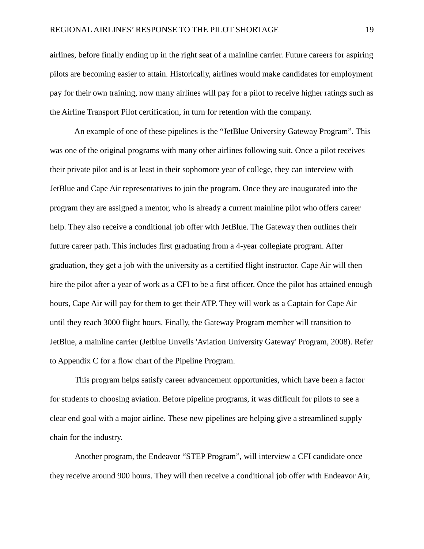airlines, before finally ending up in the right seat of a mainline carrier. Future careers for aspiring pilots are becoming easier to attain. Historically, airlines would make candidates for employment pay for their own training, now many airlines will pay for a pilot to receive higher ratings such as the Airline Transport Pilot certification, in turn for retention with the company.

An example of one of these pipelines is the "JetBlue University Gateway Program". This was one of the original programs with many other airlines following suit. Once a pilot receives their private pilot and is at least in their sophomore year of college, they can interview with JetBlue and Cape Air representatives to join the program. Once they are inaugurated into the program they are assigned a mentor, who is already a current mainline pilot who offers career help. They also receive a conditional job offer with JetBlue. The Gateway then outlines their future career path. This includes first graduating from a 4-year collegiate program. After graduation, they get a job with the university as a certified flight instructor. Cape Air will then hire the pilot after a year of work as a CFI to be a first officer. Once the pilot has attained enough hours, Cape Air will pay for them to get their ATP. They will work as a Captain for Cape Air until they reach 3000 flight hours. Finally, the Gateway Program member will transition to JetBlue, a mainline carrier (Jetblue Unveils 'Aviation University Gateway' Program, 2008). Refer to Appendix C for a flow chart of the Pipeline Program.

This program helps satisfy career advancement opportunities, which have been a factor for students to choosing aviation. Before pipeline programs, it was difficult for pilots to see a clear end goal with a major airline. These new pipelines are helping give a streamlined supply chain for the industry.

Another program, the Endeavor "STEP Program", will interview a CFI candidate once they receive around 900 hours. They will then receive a conditional job offer with Endeavor Air,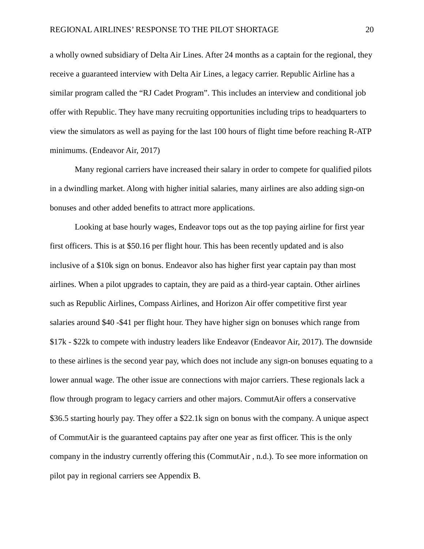a wholly owned subsidiary of Delta Air Lines. After 24 months as a captain for the regional, they receive a guaranteed interview with Delta Air Lines, a legacy carrier. Republic Airline has a similar program called the "RJ Cadet Program". This includes an interview and conditional job offer with Republic. They have many recruiting opportunities including trips to headquarters to view the simulators as well as paying for the last 100 hours of flight time before reaching R-ATP minimums. (Endeavor Air, 2017)

Many regional carriers have increased their salary in order to compete for qualified pilots in a dwindling market. Along with higher initial salaries, many airlines are also adding sign-on bonuses and other added benefits to attract more applications.

Looking at base hourly wages, Endeavor tops out as the top paying airline for first year first officers. This is at \$50.16 per flight hour. This has been recently updated and is also inclusive of a \$10k sign on bonus. Endeavor also has higher first year captain pay than most airlines. When a pilot upgrades to captain, they are paid as a third-year captain. Other airlines such as Republic Airlines, Compass Airlines, and Horizon Air offer competitive first year salaries around \$40 -\$41 per flight hour. They have higher sign on bonuses which range from \$17k - \$22k to compete with industry leaders like Endeavor (Endeavor Air, 2017). The downside to these airlines is the second year pay, which does not include any sign-on bonuses equating to a lower annual wage. The other issue are connections with major carriers. These regionals lack a flow through program to legacy carriers and other majors. CommutAir offers a conservative \$36.5 starting hourly pay. They offer a \$22.1k sign on bonus with the company. A unique aspect of CommutAir is the guaranteed captains pay after one year as first officer. This is the only company in the industry currently offering this (CommutAir , n.d.). To see more information on pilot pay in regional carriers see Appendix B.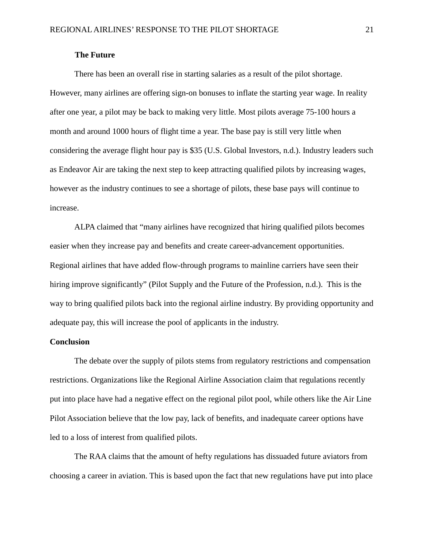#### **The Future**

<span id="page-21-0"></span>There has been an overall rise in starting salaries as a result of the pilot shortage. However, many airlines are offering sign-on bonuses to inflate the starting year wage. In reality after one year, a pilot may be back to making very little. Most pilots average 75-100 hours a month and around 1000 hours of flight time a year. The base pay is still very little when considering the average flight hour pay is \$35 (U.S. Global Investors, n.d.). Industry leaders such as Endeavor Air are taking the next step to keep attracting qualified pilots by increasing wages, however as the industry continues to see a shortage of pilots, these base pays will continue to increase.

ALPA claimed that "many airlines have recognized that hiring qualified pilots becomes easier when they increase pay and benefits and create career-advancement opportunities. Regional airlines that have added flow-through programs to mainline carriers have seen their hiring improve significantly" (Pilot Supply and the Future of the Profession, n.d.). This is the way to bring qualified pilots back into the regional airline industry. By providing opportunity and adequate pay, this will increase the pool of applicants in the industry.

#### <span id="page-21-1"></span>**Conclusion**

The debate over the supply of pilots stems from regulatory restrictions and compensation restrictions. Organizations like the Regional Airline Association claim that regulations recently put into place have had a negative effect on the regional pilot pool, while others like the Air Line Pilot Association believe that the low pay, lack of benefits, and inadequate career options have led to a loss of interest from qualified pilots.

The RAA claims that the amount of hefty regulations has dissuaded future aviators from choosing a career in aviation. This is based upon the fact that new regulations have put into place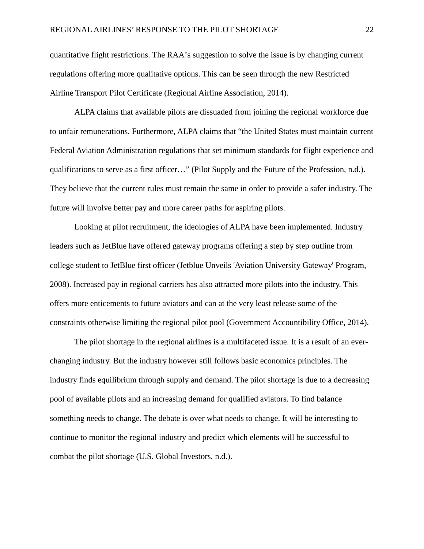quantitative flight restrictions. The RAA's suggestion to solve the issue is by changing current regulations offering more qualitative options. This can be seen through the new Restricted Airline Transport Pilot Certificate (Regional Airline Association, 2014).

ALPA claims that available pilots are dissuaded from joining the regional workforce due to unfair remunerations. Furthermore, ALPA claims that "the United States must maintain current Federal Aviation Administration regulations that set minimum standards for flight experience and qualifications to serve as a first officer…" (Pilot Supply and the Future of the Profession, n.d.). They believe that the current rules must remain the same in order to provide a safer industry. The future will involve better pay and more career paths for aspiring pilots.

Looking at pilot recruitment, the ideologies of ALPA have been implemented. Industry leaders such as JetBlue have offered gateway programs offering a step by step outline from college student to JetBlue first officer (Jetblue Unveils 'Aviation University Gateway' Program, 2008). Increased pay in regional carriers has also attracted more pilots into the industry. This offers more enticements to future aviators and can at the very least release some of the constraints otherwise limiting the regional pilot pool (Government Accountibility Office, 2014).

The pilot shortage in the regional airlines is a multifaceted issue. It is a result of an everchanging industry. But the industry however still follows basic economics principles. The industry finds equilibrium through supply and demand. The pilot shortage is due to a decreasing pool of available pilots and an increasing demand for qualified aviators. To find balance something needs to change. The debate is over what needs to change. It will be interesting to continue to monitor the regional industry and predict which elements will be successful to combat the pilot shortage (U.S. Global Investors, n.d.).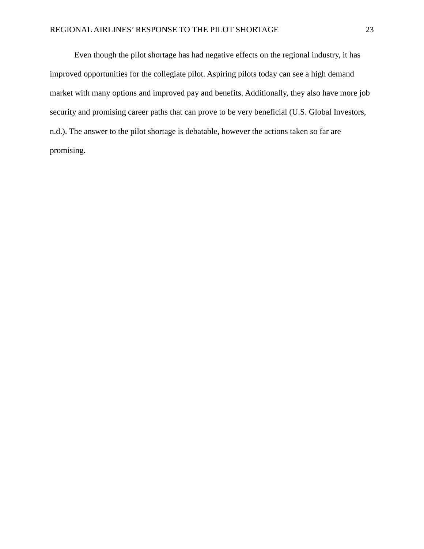Even though the pilot shortage has had negative effects on the regional industry, it has improved opportunities for the collegiate pilot. Aspiring pilots today can see a high demand market with many options and improved pay and benefits. Additionally, they also have more job security and promising career paths that can prove to be very beneficial (U.S. Global Investors, n.d.). The answer to the pilot shortage is debatable, however the actions taken so far are promising.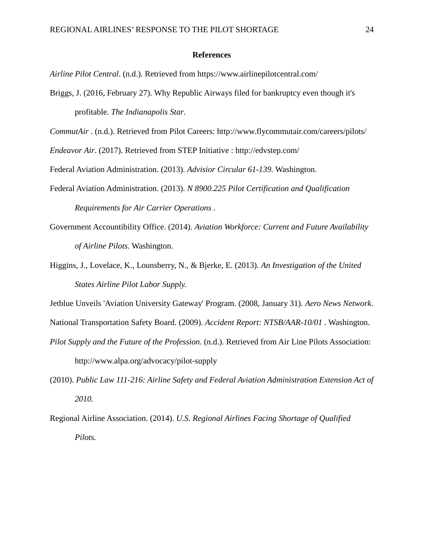#### **References**

<span id="page-24-0"></span>*Airline Pilot Central*. (n.d.). Retrieved from https://www.airlinepilotcentral.com/

Briggs, J. (2016, February 27). Why Republic Airways filed for bankruptcy even though it's profitable. *The Indianapolis Star*.

*CommutAir* . (n.d.). Retrieved from Pilot Careers: http://www.flycommutair.com/careers/pilots/

*Endeavor Air*. (2017). Retrieved from STEP Initiative : http://edvstep.com/

Federal Aviation Administration. (2013). *Advisior Circular 61-139.* Washington.

- Federal Aviation Administration. (2013). *N 8900.225 Pilot Certification and Qualification Requirements for Air Carrier Operations .*
- Government Accountibility Office. (2014). *Aviation Workforce: Current and Future Availability of Airline Pilots.* Washington.
- Higgins, J., Lovelace, K., Lounsberry, N., & Bjerke, E. (2013). *An Investigation of the United States Airline Pilot Labor Supply.*

Jetblue Unveils 'Aviation University Gateway' Program. (2008, January 31). *Aero News Network*.

National Transportation Safety Board. (2009). *Accident Report: NTSB/AAR-10/01 .* Washington.

- *Pilot Supply and the Future of the Profession*. (n.d.). Retrieved from Air Line Pilots Association: http://www.alpa.org/advocacy/pilot-supply
- (2010). *Public Law 111-216: Airline Safety and Federal Aviation Administration Extension Act of 2010.*
- Regional Airline Association. (2014). *U.S. Regional Airlines Facing Shortage of Qualified Pilots.*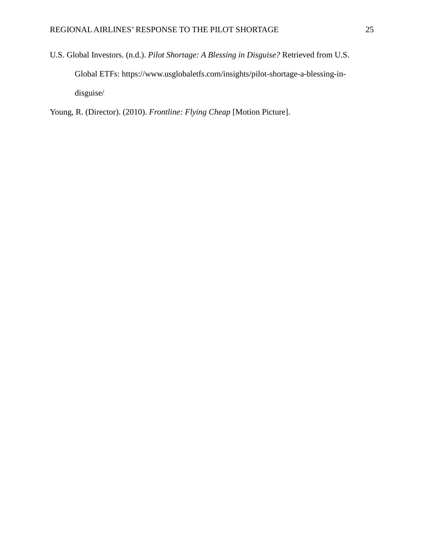U.S. Global Investors. (n.d.). *Pilot Shortage: A Blessing in Disguise?* Retrieved from U.S. Global ETFs: https://www.usglobaletfs.com/insights/pilot-shortage-a-blessing-indisguise/

Young, R. (Director). (2010). *Frontline: Flying Cheap* [Motion Picture].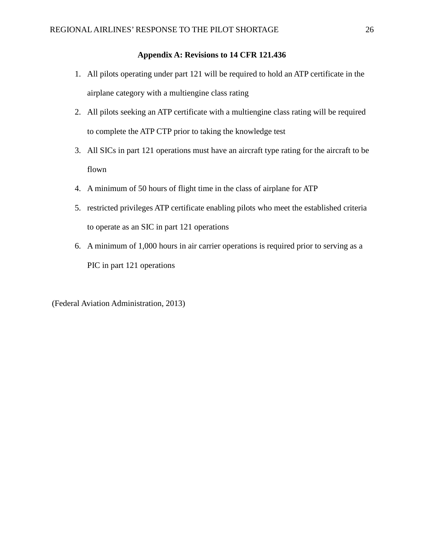#### **Appendix A: Revisions to 14 CFR 121.436**

- <span id="page-26-0"></span>1. All pilots operating under part 121 will be required to hold an ATP certificate in the airplane category with a multiengine class rating
- 2. All pilots seeking an ATP certificate with a multiengine class rating will be required to complete the ATP CTP prior to taking the knowledge test
- 3. All SICs in part 121 operations must have an aircraft type rating for the aircraft to be flown
- 4. A minimum of 50 hours of flight time in the class of airplane for ATP
- 5. restricted privileges ATP certificate enabling pilots who meet the established criteria to operate as an SIC in part 121 operations
- 6. A minimum of 1,000 hours in air carrier operations is required prior to serving as a PIC in part 121 operations

(Federal Aviation Administration, 2013)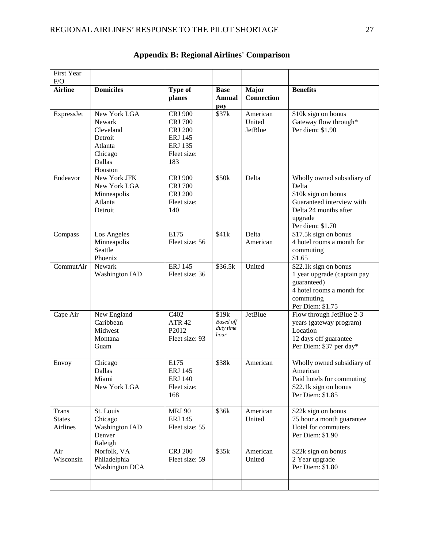<span id="page-27-0"></span>

| First Year<br>F/O                         |                                                                                           |                                                                                                              |                                                |                               |                                                                                                                                                 |
|-------------------------------------------|-------------------------------------------------------------------------------------------|--------------------------------------------------------------------------------------------------------------|------------------------------------------------|-------------------------------|-------------------------------------------------------------------------------------------------------------------------------------------------|
| <b>Airline</b>                            | <b>Domiciles</b>                                                                          | <b>Type of</b><br>planes                                                                                     | <b>Base</b><br><b>Annual</b><br>pay            | Major<br><b>Connection</b>    | <b>Benefits</b>                                                                                                                                 |
| ExpressJet                                | New York LGA<br>Newark<br>Cleveland<br>Detroit<br>Atlanta<br>Chicago<br>Dallas<br>Houston | <b>CRJ 900</b><br><b>CRJ 700</b><br><b>CRJ 200</b><br><b>ERJ 145</b><br><b>ERJ 135</b><br>Fleet size:<br>183 | \$37k                                          | American<br>United<br>JetBlue | \$10k sign on bonus<br>Gateway flow through*<br>Per diem: \$1.90                                                                                |
| Endeavor                                  | New York JFK<br>New York LGA<br>Minneapolis<br>Atlanta<br>Detroit                         | <b>CRJ 900</b><br><b>CRJ 700</b><br><b>CRJ 200</b><br>Fleet size:<br>140                                     | \$50k                                          | Delta                         | Wholly owned subsidiary of<br>Delta<br>\$10k sign on bonus<br>Guaranteed interview with<br>Delta 24 months after<br>upgrade<br>Per diem: \$1.70 |
| Compass                                   | Los Angeles<br>Minneapolis<br>Seattle<br>Phoenix                                          | E175<br>Fleet size: 56                                                                                       | \$41k                                          | Delta<br>American             | \$17.5k sign on bonus<br>4 hotel rooms a month for<br>commuting<br>\$1.65                                                                       |
| CommutAir                                 | Newark<br><b>Washington IAD</b>                                                           | <b>ERJ 145</b><br>Fleet size: 36                                                                             | \$36.5k                                        | United                        | \$22.1k sign on bonus<br>1 year upgrade (captain pay<br>guaranteed)<br>4 hotel rooms a month for<br>commuting<br>Per Diem: \$1.75               |
| Cape Air                                  | New England<br>Caribbean<br>Midwest<br>Montana<br>Guam                                    | C402<br><b>ATR 42</b><br>P2012<br>Fleet size: 93                                                             | \$19k<br><b>Based off</b><br>duty time<br>hour | JetBlue                       | Flow through JetBlue 2-3<br>years (gateway program)<br>Location<br>12 days off guarantee<br>Per Diem: \$37 per day*                             |
| Envoy                                     | Chicago<br>Dallas<br>Miami<br>New York LGA                                                | E175<br><b>ERJ 145</b><br>ERJ 140<br>Fleet size:<br>168                                                      | \$38k                                          | American                      | Wholly owned subsidiary of<br>American<br>Paid hotels for commuting<br>\$22.1k sign on bonus<br>Per Diem: \$1.85                                |
| <b>Trans</b><br><b>States</b><br>Airlines | St. Louis<br>Chicago<br><b>Washington IAD</b><br>Denver<br>Raleigh                        | <b>MRJ 90</b><br><b>ERJ 145</b><br>Fleet size: 55                                                            | \$36k                                          | American<br>United            | \$22k sign on bonus<br>75 hour a month guarantee<br>Hotel for commuters<br>Per Diem: \$1.90                                                     |
| Air<br>Wisconsin                          | Norfolk, VA<br>Philadelphia<br><b>Washington DCA</b>                                      | <b>CRJ 200</b><br>Fleet size: 59                                                                             | \$35k                                          | American<br>United            | \$22k sign on bonus<br>2 Year upgrade<br>Per Diem: \$1.80                                                                                       |

## **Appendix B: Regional Airlines' Comparison**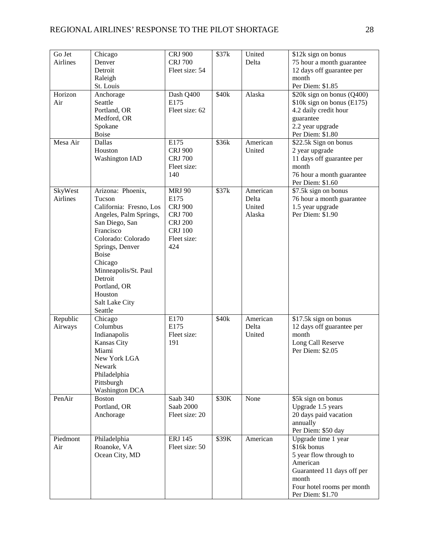| Go Jet<br>Airlines  | Chicago<br>Denver<br>Detroit<br>Raleigh<br>St. Louis                                                                                                                                                                                                                           | <b>CRJ 900</b><br><b>CRJ 700</b><br>Fleet size: 54                                                                  | \$37k | United<br>Delta                       | \$12k sign on bonus<br>75 hour a month guarantee<br>12 days off guarantee per<br>month<br>Per Diem: \$1.85                                                        |
|---------------------|--------------------------------------------------------------------------------------------------------------------------------------------------------------------------------------------------------------------------------------------------------------------------------|---------------------------------------------------------------------------------------------------------------------|-------|---------------------------------------|-------------------------------------------------------------------------------------------------------------------------------------------------------------------|
| Horizon<br>Air      | Anchorage<br>Seattle<br>Portland, OR<br>Medford, OR<br>Spokane<br>Boise                                                                                                                                                                                                        | Dash Q400<br>E175<br>Fleet size: 62                                                                                 | \$40k | Alaska                                | \$20k sign on bonus (Q400)<br>$$10k$ sign on bonus (E175)<br>4.2 daily credit hour<br>guarantee<br>2.2 year upgrade<br>Per Diem: \$1.80                           |
| Mesa Air            | Dallas<br>Houston<br><b>Washington IAD</b>                                                                                                                                                                                                                                     | E175<br><b>CRJ 900</b><br><b>CRJ 700</b><br>Fleet size:<br>140                                                      | \$36k | American<br>United                    | $\overline{$22.5k$$ Sign on bonus<br>2 year upgrade<br>11 days off guarantee per<br>month<br>76 hour a month guarantee<br>Per Diem: \$1.60                        |
| SkyWest<br>Airlines | Arizona: Phoenix,<br>Tucson<br>California: Fresno, Los<br>Angeles, Palm Springs,<br>San Diego, San<br>Francisco<br>Colorado: Colorado<br>Springs, Denver<br><b>Boise</b><br>Chicago<br>Minneapolis/St. Paul<br>Detroit<br>Portland, OR<br>Houston<br>Salt Lake City<br>Seattle | <b>MRJ 90</b><br>E175<br><b>CRJ 900</b><br><b>CRJ 700</b><br><b>CRJ 200</b><br><b>CRJ</b> 100<br>Fleet size:<br>424 | \$37k | American<br>Delta<br>United<br>Alaska | \$7.5k sign on bonus<br>76 hour a month guarantee<br>1.5 year upgrade<br>Per Diem: \$1.90                                                                         |
| Republic<br>Airways | Chicago<br>Columbus<br>Indianapolis<br>Kansas City<br>Miami<br>New York LGA<br>Newark<br>Philadelphia<br>Pittsburgh<br><b>Washington DCA</b>                                                                                                                                   | E170<br>E175<br>Fleet size:<br>191                                                                                  | \$40k | American<br>Delta<br>United           | \$17.5k sign on bonus<br>12 days off guarantee per<br>month<br>Long Call Reserve<br>Per Diem: \$2.05                                                              |
| PenAir              | <b>Boston</b><br>Portland, OR<br>Anchorage                                                                                                                                                                                                                                     | Saab 340<br>Saab 2000<br>Fleet size: 20                                                                             | \$30K | None                                  | \$5k sign on bonus<br>Upgrade 1.5 years<br>20 days paid vacation<br>annually<br>Per Diem: \$50 day                                                                |
| Piedmont<br>Air     | Philadelphia<br>Roanoke, VA<br>Ocean City, MD                                                                                                                                                                                                                                  | <b>ERJ 145</b><br>Fleet size: 50                                                                                    | \$39K | American                              | Upgrade time 1 year<br>\$16k bonus<br>5 year flow through to<br>American<br>Guaranteed 11 days off per<br>month<br>Four hotel rooms per month<br>Per Diem: \$1.70 |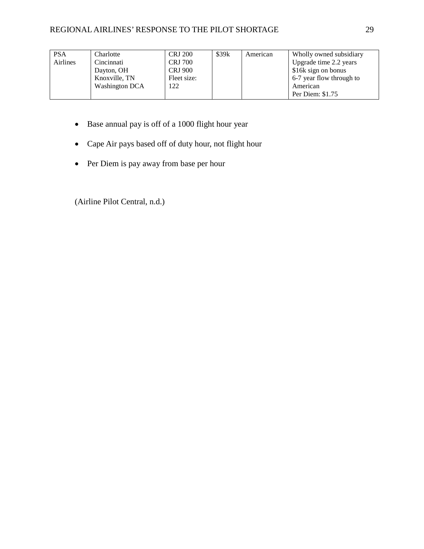### REGIONAL AIRLINES' RESPONSE TO THE PILOT SHORTAGE 29

| <b>PSA</b>      | Charlotte             | <b>CRJ 200</b> | \$39k | American | Wholly owned subsidiary  |
|-----------------|-----------------------|----------------|-------|----------|--------------------------|
| <b>Airlines</b> | Cincinnati            | <b>CRJ 700</b> |       |          | Upgrade time 2.2 years   |
|                 | Dayton, OH            | <b>CRJ 900</b> |       |          | \$16k sign on bonus      |
|                 | Knoxville, TN         | Fleet size:    |       |          | 6-7 year flow through to |
|                 | <b>Washington DCA</b> | 122            |       |          | American                 |
|                 |                       |                |       |          | Per Diem: \$1.75         |

- Base annual pay is off of a 1000 flight hour year
- Cape Air pays based off of duty hour, not flight hour
- Per Diem is pay away from base per hour

(Airline Pilot Central, n.d.)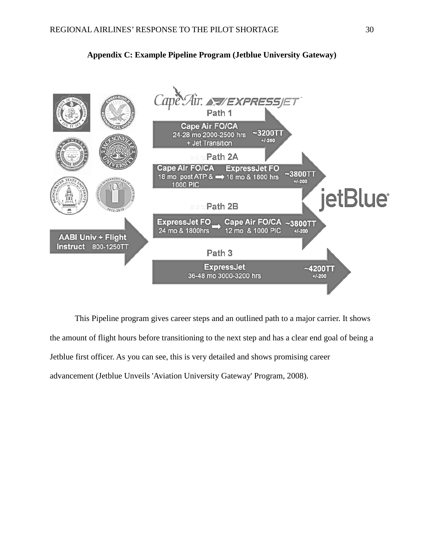

<span id="page-30-0"></span>

This Pipeline program gives career steps and an outlined path to a major carrier. It shows the amount of flight hours before transitioning to the next step and has a clear end goal of being a Jetblue first officer. As you can see, this is very detailed and shows promising career advancement (Jetblue Unveils 'Aviation University Gateway' Program, 2008).